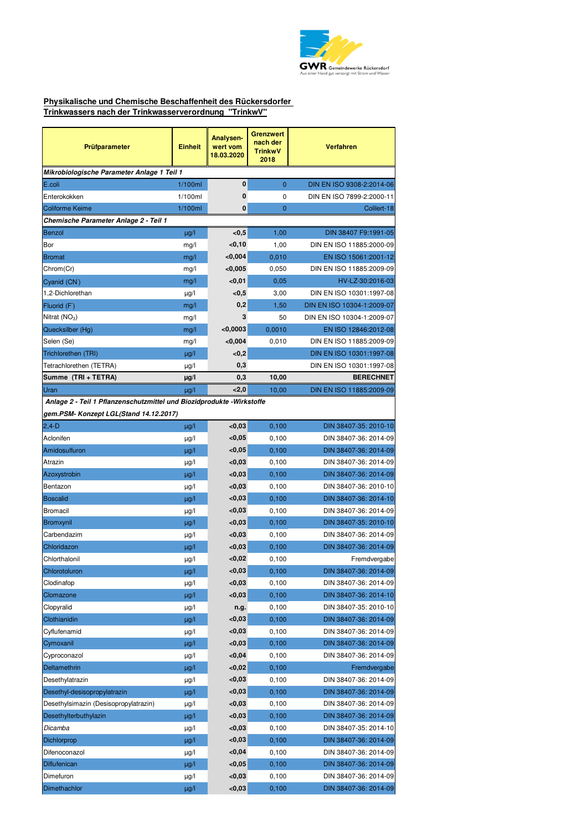

## **Physikalische und Chemische Beschaffenheit des Rückersdorfer Trinkwassers nach der Trinkwasserverordnung "TrinkwV"**

| Prüfparameter                                                         | <b>Einheit</b> | Analysen-<br>wert vom<br>18.03.2020 | <b>Grenzwert</b><br>nach der<br><b>TrinkwV</b><br>2018 | <b>Verfahren</b>           |  |
|-----------------------------------------------------------------------|----------------|-------------------------------------|--------------------------------------------------------|----------------------------|--|
| Mikrobiologische Parameter Anlage 1 Teil 1                            |                |                                     |                                                        |                            |  |
| E.coli                                                                | 1/100ml        | 0                                   | $\overline{0}$                                         | DIN EN ISO 9308-2:2014-06  |  |
| Enterokokken                                                          | 1/100ml        | 0                                   | 0                                                      | DIN EN ISO 7899-2:2000-11  |  |
| <b>Coliforme Keime</b>                                                | 1/100ml        | 0                                   | $\overline{0}$                                         | Colilert-18                |  |
| Chemische Parameter Anlage 2 - Teil 1                                 |                |                                     |                                                        |                            |  |
| Benzol                                                                | $\mu$ g/l      | <0,5                                | 1,00                                                   | DIN 38407 F9:1991-05       |  |
| Bor                                                                   | mg/l           | $<$ 0,10                            | 1,00                                                   | DIN EN ISO 11885:2000-09   |  |
| <b>Bromat</b>                                                         | mg/l           | < 0,004                             | 0,010                                                  | EN ISO 15061:2001-12       |  |
| Chrom(Cr)                                                             | mg/l           | $<$ 0,005                           | 0,050                                                  | DIN EN ISO 11885:2009-09   |  |
| Cyanid (CN)                                                           | mg/l           | < 0, 01                             | 0,05                                                   | HV-LZ-30:2016-03           |  |
| 1,2-Dichlorethan                                                      | $\mu$ g/l      | < 0, 5                              | 3,00                                                   | DIN EN ISO 10301:1997-08   |  |
| Fluorid (F)                                                           | mg/l           | 0,2                                 | 1,50                                                   | DIN EN ISO 10304-1:2009-07 |  |
| Nitrat $(NO_3)$                                                       | mg/l           | 3                                   | 50                                                     | DIN EN ISO 10304-1:2009-07 |  |
| Quecksilber (Hg)                                                      | mg/l           | <0,0003                             | 0,0010                                                 | EN ISO 12846:2012-08       |  |
| Selen (Se)                                                            | mg/l           | < 0,004                             | 0,010                                                  | DIN EN ISO 11885:2009-09   |  |
| Trichlorethen (TRI)                                                   | $\mu$ g/l      | <0,2                                |                                                        | DIN EN ISO 10301:1997-08   |  |
| Tetrachlorethen (TETRA)                                               | $\mu$ g/l      | 0,3                                 |                                                        | DIN EN ISO 10301:1997-08   |  |
| Summe (TRI + TETRA)                                                   | $\mu$ g/l      | 0,3                                 | 10,00                                                  | <b>BERECHNET</b>           |  |
| Uran                                                                  | $\mu$ g/l      | 2,0                                 | 10,00                                                  | DIN EN ISO 11885:2009-09   |  |
| Anlage 2 - Teil 1 Pflanzenschutzmittel und Biozidprodukte -Wirkstoffe |                |                                     |                                                        |                            |  |
| gem.PSM- Konzept LGL(Stand 14.12.2017)                                |                |                                     |                                                        |                            |  |
| $2,4-D$                                                               | $\mu$ g/l      | <0,03                               | 0,100                                                  | DIN 38407-35: 2010-10      |  |
| Aclonifen                                                             | µg/l           | <0,05                               | 0,100                                                  | DIN 38407-36: 2014-09      |  |
| Amidosulfuron                                                         | $\mu$ g/l      | $<$ 0,05                            | 0,100                                                  | DIN 38407-36: 2014-09      |  |
| Atrazin                                                               |                | <0,03                               | 0,100                                                  | DIN 38407-36: 2014-09      |  |
|                                                                       | $\mu$ g/l      | <0,03                               |                                                        | DIN 38407-36: 2014-09      |  |
| Azoxystrobin<br>Bentazon                                              | $\mu$ g/l      | <0,03                               | 0,100<br>0,100                                         | DIN 38407-36: 2010-10      |  |
| <b>Boscalid</b>                                                       | µg/l           | <0,03                               |                                                        | DIN 38407-36: 2014-10      |  |
|                                                                       | $\mu$ g/l      |                                     | 0,100                                                  |                            |  |
| <b>Bromacil</b>                                                       | μg/l           | <0,03                               | 0,100<br>0,100                                         | DIN 38407-36: 2014-09      |  |
| Bromxynil<br>Carbendazim                                              | $\mu$ g/l      | <0,03                               |                                                        | DIN 38407-35: 2010-10      |  |
|                                                                       | $\mu$ g/l      | <0,03                               | 0,100                                                  | DIN 38407-36: 2014-09      |  |
| Chloridazon                                                           | $\mu$ g/l      | <0,03                               | 0,100                                                  | DIN 38407-36: 2014-09      |  |
| Chlorthalonil                                                         | $\mu$ g/l      | <0.02                               | 0,100                                                  | Fremdvergabe               |  |
| Chlorotoluron                                                         | $\mu g/l$      | <0,03                               | 0,100                                                  | DIN 38407-36: 2014-09      |  |
| Clodinafop                                                            | $\mu$ g/l      | <0,03                               | 0,100                                                  | DIN 38407-36: 2014-09      |  |
| Clomazone                                                             | $\mu$ g/l      | <0,03                               | 0,100                                                  | DIN 38407-36: 2014-10      |  |
| Clopyralid                                                            | $\mu$ g/l      | n.g.                                | 0,100                                                  | DIN 38407-35: 2010-10      |  |
| Clothianidin                                                          | $\mu$ g/l      | <0,03                               | 0,100                                                  | DIN 38407-36: 2014-09      |  |
| Cyflufenamid                                                          | µg/l           | <0,03                               | 0,100                                                  | DIN 38407-36: 2014-09      |  |
| Cymoxanil                                                             | $\mu$ g/l      | <0,03                               | 0,100                                                  | DIN 38407-36: 2014-09      |  |
| Cyproconazol                                                          | µg/l           | <0,04                               | 0,100                                                  | DIN 38407-36: 2014-09      |  |
| Deltamethrin                                                          | $\mu$ g/l      | <0,02                               | 0,100                                                  | Fremdvergabe               |  |
| Desethylatrazin                                                       | µg/l           | <0,03                               | 0,100                                                  | DIN 38407-36: 2014-09      |  |
| Desethyl-desisopropylatrazin                                          | $\mu$ g/l      | <0,03                               | 0,100                                                  | DIN 38407-36: 2014-09      |  |
| Desethylsimazin (Desisopropylatrazin)                                 | µg/l           | <0,03                               | 0,100                                                  | DIN 38407-36: 2014-09      |  |
| Desethylterbuthylazin                                                 | $\mu$ g/l      | <0,03                               | 0,100                                                  | DIN 38407-36: 2014-09      |  |
| Dicamba                                                               | $\mu g/l$      | <0,03                               | 0,100                                                  | DIN 38407-35: 2014-10      |  |
| Dichlorprop                                                           | $\mu$ g/l      | <0,03                               | 0,100                                                  | DIN 38407-36: 2014-09      |  |
| Difenoconazol                                                         | µg/l           | <0,04                               | 0,100                                                  | DIN 38407-36: 2014-09      |  |
| Diflufenican                                                          | $\mu$ g/l      | < 0, 05                             | 0,100                                                  | DIN 38407-36: 2014-09      |  |
| Dimefuron                                                             | µg/l           | <0,03                               | 0,100                                                  | DIN 38407-36: 2014-09      |  |
| Dimethachlor                                                          | $\mu g/l$      | <0,03                               | 0,100                                                  | DIN 38407-36: 2014-09      |  |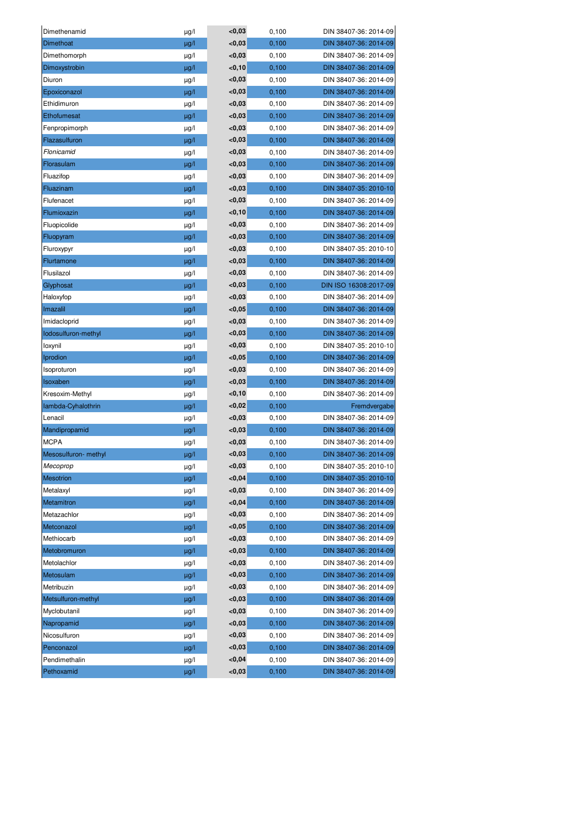| Dimethenamid         | $\mu$ g/l              | <0,03   | 0,100 | DIN 38407-36: 2014-09 |
|----------------------|------------------------|---------|-------|-----------------------|
| Dimethoat            | $\mu$ g/l              | < 0, 03 | 0,100 | DIN 38407-36: 2014-09 |
| Dimethomorph         | $\mu$ g/l              | <0,03   | 0,100 | DIN 38407-36: 2014-09 |
| Dimoxystrobin        | $\mu$ g/l              | <0,10   | 0,100 | DIN 38407-36: 2014-09 |
| Diuron               | $\mu$ g/l              | <0,03   | 0,100 | DIN 38407-36: 2014-09 |
| Epoxiconazol         | $\mu$ g/l              | <0,03   | 0,100 | DIN 38407-36: 2014-09 |
| Ethidimuron          | $\mu$ g/l              | <0,03   | 0,100 | DIN 38407-36: 2014-09 |
| Ethofumesat          | $\mu$ g/l              | <0,03   | 0,100 | DIN 38407-36: 2014-09 |
| Fenpropimorph        | $\mu g/l$              | <0,03   | 0,100 | DIN 38407-36: 2014-09 |
| Flazasulfuron        | $\mu$ g/l              | <0,03   | 0,100 | DIN 38407-36: 2014-09 |
| Flonicamid           | $\mu g/l$              | <0,03   | 0,100 | DIN 38407-36: 2014-09 |
| Florasulam           | $\mu$ g/l              | < 0, 03 | 0,100 | DIN 38407-36: 2014-09 |
| Fluazifop            | $\mu$ g/l              | <0,03   | 0,100 | DIN 38407-36: 2014-09 |
| Fluazinam            | µg/l                   | <0,03   | 0,100 | DIN 38407-35: 2010-10 |
| Flufenacet           | $\mu$ g/l              | <0,03   | 0,100 | DIN 38407-36: 2014-09 |
| Flumioxazin          | $\mu$ g/l              | $0,10$  | 0,100 | DIN 38407-36: 2014-09 |
| Fluopicolide         | $\mu$ g/l              | <0,03   | 0,100 | DIN 38407-36: 2014-09 |
| Fluopyram            | $\mu$ g/l              | <0,03   | 0,100 | DIN 38407-36: 2014-09 |
| Fluroxypyr           | $\mu$ g/l              | <0,03   | 0,100 | DIN 38407-35: 2010-10 |
| Flurtamone           | $\mu$ g/l              | <0,03   | 0,100 | DIN 38407-36: 2014-09 |
| Flusilazol           | $\mu$ g/l              | <0,03   | 0,100 | DIN 38407-36: 2014-09 |
| Glyphosat            | $\mu$ g/l              | <0,03   | 0,100 | DIN ISO 16308:2017-09 |
| Haloxyfop            | $\mu$ g/l              | <0,03   | 0.100 | DIN 38407-36: 2014-09 |
| <b>Imazalil</b>      | $\mu$ g/l              | < 0,05  | 0,100 | DIN 38407-36: 2014-09 |
| Imidacloprid         | $\mu$ g/l              | <0,03   | 0,100 | DIN 38407-36: 2014-09 |
| lodosulfuron-methyl  | $\mu$ g/l              | <0,03   | 0,100 | DIN 38407-36: 2014-09 |
| loxynil              | $\mu$ g/l              | <0,03   | 0,100 | DIN 38407-35: 2010-10 |
| Iprodion             | $\mu$ g/l              | < 0,05  | 0,100 | DIN 38407-36: 2014-09 |
| Isoproturon          | $\mu$ g/l              | <0,03   | 0,100 | DIN 38407-36: 2014-09 |
| Isoxaben             | $\mu$ g/l              | <0,03   | 0,100 | DIN 38407-36: 2014-09 |
| Kresoxim-Methyl      | $\mu$ g/l              | $0,10$  | 0,100 | DIN 38407-36: 2014-09 |
| lambda-Cyhalothrin   | $\mu$ g/l              | <0,02   | 0,100 | Fremdvergabe          |
| Lenacil              | $\mu$ g/l              | <0,03   | 0,100 | DIN 38407-36: 2014-09 |
| Mandipropamid        | $\mu$ g/l              | <0,03   | 0,100 | DIN 38407-36: 2014-09 |
| <b>MCPA</b>          | $\mu$ g/l              | <0,03   | 0,100 | DIN 38407-36: 2014-09 |
| Mesosulfuron- methyl | $\mu$ g/l              | <0,03   | 0,100 | DIN 38407-36: 2014-09 |
| Mecoprop             | $\frac{\mu g}{\sigma}$ | <0,03   | 0,100 | DIN 38407-35: 2010-10 |
| <b>Mesotrion</b>     | $\mu$ g/l              | <0,04   | 0,100 | DIN 38407-35: 2010-10 |
| Metalaxyl            | µg/l                   | <0,03   | 0,100 | DIN 38407-36: 2014-09 |
| Metamitron           | $\mu$ g/l              | <0,04   | 0,100 | DIN 38407-36: 2014-09 |
| Metazachlor          | $\mu$ g/l              | <0,03   | 0,100 | DIN 38407-36: 2014-09 |
| Metconazol           | $\mu$ g/l              | < 0, 05 | 0,100 | DIN 38407-36: 2014-09 |
| Methiocarb           | µg/l                   | <0,03   | 0,100 | DIN 38407-36: 2014-09 |
| Metobromuron         | $\mu$ g/l              | <0,03   | 0,100 | DIN 38407-36: 2014-09 |
| Metolachlor          | µg/l                   | <0,03   | 0,100 | DIN 38407-36: 2014-09 |
| Metosulam            | $\mu$ g/l              | <0,03   | 0,100 | DIN 38407-36: 2014-09 |
| Metribuzin           | $\mu$ g/l              | <0,03   | 0,100 | DIN 38407-36: 2014-09 |
| Metsulfuron-methyl   | $\mu g/l$              | <0,03   | 0,100 | DIN 38407-36: 2014-09 |
| Myclobutanil         | $\mu$ g/l              | <0,03   | 0,100 | DIN 38407-36: 2014-09 |
| Napropamid           | $\mu g/l$              | <0,03   | 0,100 | DIN 38407-36: 2014-09 |
| Nicosulfuron         | $\mu$ g/l              | <0,03   | 0,100 | DIN 38407-36: 2014-09 |
| Penconazol           | $\mu g/l$              | <0,03   | 0,100 | DIN 38407-36: 2014-09 |
| Pendimethalin        | $\mu$ g/l              | <0,04   | 0,100 | DIN 38407-36: 2014-09 |
| Pethoxamid           | $\mu$ g/l              | <0,03   | 0,100 | DIN 38407-36: 2014-09 |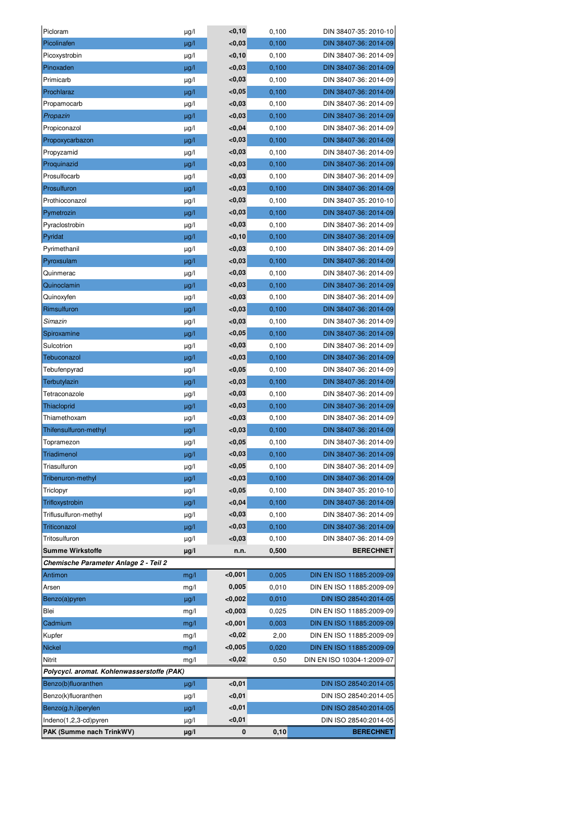| Picloram                                   | $\mu$ g/l              | <0,10   | 0,100          | DIN 38407-35: 2010-10      |
|--------------------------------------------|------------------------|---------|----------------|----------------------------|
| Picolinafen                                | $\mu$ g/l              | <0,03   | 0,100          | DIN 38407-36: 2014-09      |
| Picoxystrobin                              | $\mu$ g/l              | <0,10   | 0,100          | DIN 38407-36: 2014-09      |
| Pinoxaden                                  | $\mu$ g/l              | <0,03   | 0,100          | DIN 38407-36: 2014-09      |
| Primicarb                                  | $\mu$ g/l              | <0,03   | 0,100          | DIN 38407-36: 2014-09      |
| Prochlaraz                                 | $\mu$ g/l              | < 0, 05 | 0,100          | DIN 38407-36: 2014-09      |
| Propamocarb                                | $\mu$ g/l              | <0,03   | 0,100          | DIN 38407-36: 2014-09      |
| Propazin                                   | $\mu$ g/l              | <0,03   | 0,100          | DIN 38407-36: 2014-09      |
| Propiconazol                               | $\mu$ g/l              | <0,04   | 0,100          | DIN 38407-36: 2014-09      |
| Propoxycarbazon                            | $\mu$ g/l              | <0,03   | 0,100          | DIN 38407-36: 2014-09      |
| Propyzamid                                 | $\mu$ g/l              | <0.03   | 0,100          | DIN 38407-36: 2014-09      |
| Proquinazid                                | $\mu g/l$              | <0,03   | 0,100          | DIN 38407-36: 2014-09      |
| Prosulfocarb                               | $\mu$ g/l              | <0,03   | 0,100          | DIN 38407-36: 2014-09      |
| Prosulfuron                                | $\mu$ g/l              | <0,03   | 0,100          | DIN 38407-36: 2014-09      |
| Prothioconazol                             | $\mu$ g/l              | < 0, 03 | 0,100          | DIN 38407-35: 2010-10      |
| Pymetrozin                                 | $\mu$ g/l              | <0,03   | 0,100          | DIN 38407-36: 2014-09      |
| Pyraclostrobin                             | $\mu$ g/l              | <0,03   | 0,100          | DIN 38407-36: 2014-09      |
| Pyridat                                    | $\mu$ g/l              | < 0, 10 | 0,100          | DIN 38407-36: 2014-09      |
| Pyrimethanil                               | $\mu$ g/l              | <0,03   | 0,100          | DIN 38407-36: 2014-09      |
| Pyroxsulam                                 | $\mu$ g/l              | <0,03   | 0,100          | DIN 38407-36: 2014-09      |
| Quinmerac                                  | $\mu$ g/l              | <0,03   | 0,100          | DIN 38407-36: 2014-09      |
| Quinoclamin                                | $\mu$ g/l              | <0.03   | 0,100          | DIN 38407-36: 2014-09      |
| Quinoxyfen                                 | $\mu$ g/l              | <0,03   | 0,100          | DIN 38407-36: 2014-09      |
| Rimsulfuron                                | $\mu$ g/l              | <0,03   | 0,100          | DIN 38407-36: 2014-09      |
| Simazin                                    |                        | <0,03   | 0,100          | DIN 38407-36: 2014-09      |
| Spiroxamine                                | $\mu$ g/l              | < 0,05  | 0,100          | DIN 38407-36: 2014-09      |
| Sulcotrion                                 | $\mu$ g/l              | <0,03   | 0,100          | DIN 38407-36: 2014-09      |
| Tebuconazol                                | $\mu$ g/l              | <0,03   | 0,100          | DIN 38407-36: 2014-09      |
|                                            | $\mu$ g/l              | < 0,05  |                | DIN 38407-36: 2014-09      |
| Tebufenpyrad<br>Terbutylazin               | $\mu$ g/l              | <0,03   | 0,100<br>0,100 | DIN 38407-36: 2014-09      |
| Tetraconazole                              | $\mu$ g/l<br>$\mu$ g/l | <0,03   | 0,100          | DIN 38407-36: 2014-09      |
| <b>Thiacloprid</b>                         | $\mu$ g/l              | <0,03   | 0,100          | DIN 38407-36: 2014-09      |
| Thiamethoxam                               | $\mu$ g/l              | <0,03   | 0,100          | DIN 38407-36: 2014-09      |
| Thifensulfuron-methyl                      | $\mu$ g/l              | <0,03   | 0,100          | DIN 38407-36: 2014-09      |
| Topramezon                                 | $\mu$ g/l              | < 0.05  | 0,100          | DIN 38407-36: 2014-09      |
| Triadimenol                                | $\mu$ g/l              | <0,03   | 0,100          | DIN 38407-36: 2014-09      |
| Triasulfuron                               | $\mu$ g/l              | < 0, 05 | 0,100          | DIN 38407-36: 2014-09      |
| Tribenuron-methyl                          | $\mu$ g/l              | <0,03   | 0,100          | DIN 38407-36: 2014-09      |
| Triclopyr                                  | $\mu$ g/l              | <0,05   | 0,100          | DIN 38407-35: 2010-10      |
| Trifloxystrobin                            | µg/l                   | <0,04   | 0,100          | DIN 38407-36: 2014-09      |
| Triflusulfuron-methyl                      | $\mu$ g/l              | <0,03   | 0,100          | DIN 38407-36: 2014-09      |
| <b>Triticonazol</b>                        | $\mu$ g/l              | <0,03   | 0,100          | DIN 38407-36: 2014-09      |
| Tritosulfuron                              | $\mu$ g/l              | <0,03   | 0,100          | DIN 38407-36: 2014-09      |
| <b>Summe Wirkstoffe</b>                    | $\mu$ g/l              | n.n.    | 0,500          | <b>BERECHNET</b>           |
| Chemische Parameter Anlage 2 - Teil 2      |                        |         |                |                            |
| Antimon                                    | mg/l                   | < 0,001 | 0,005          | DIN EN ISO 11885:2009-09   |
| Arsen                                      | mg/l                   | 0,005   | 0,010          | DIN EN ISO 11885:2009-09   |
| Benzo(a)pyren                              | $\mu g/l$              | <0,002  | 0,010          | DIN ISO 28540:2014-05      |
| Blei                                       | mg/l                   | <0,003  | 0,025          | DIN EN ISO 11885:2009-09   |
| Cadmium                                    | mg/l                   | <0,001  | 0,003          | DIN EN ISO 11885:2009-09   |
| Kupfer                                     | mg/l                   | <0,02   | 2,00           | DIN EN ISO 11885:2009-09   |
| <b>Nickel</b>                              | mg/l                   | < 0,005 | 0,020          | DIN EN ISO 11885:2009-09   |
| Nitrit                                     | mg/l                   | <0,02   | 0,50           | DIN EN ISO 10304-1:2009-07 |
| Polycycl. aromat. Kohlenwasserstoffe (PAK) |                        |         |                |                            |
| Benzo(b)fluoranthen                        | $\mu$ g/l              | $0,01$  |                | DIN ISO 28540:2014-05      |
| Benzo(k)fluoranthen                        | $\mu$ g/l              | $0,01$  |                | DIN ISO 28540:2014-05      |
| Benzo(g,h,i)perylen                        | $\mu$ g/l              | $0,01$  |                | DIN ISO 28540:2014-05      |
| Indeno(1,2,3-cd)pyren                      | $\mu$ g/l              | $0,01$  |                | DIN ISO 28540:2014-05      |
| PAK (Summe nach TrinkWV)                   | $\mu g/I$              | 0       | 0,10           | <b>BERECHNET</b>           |
|                                            |                        |         |                |                            |